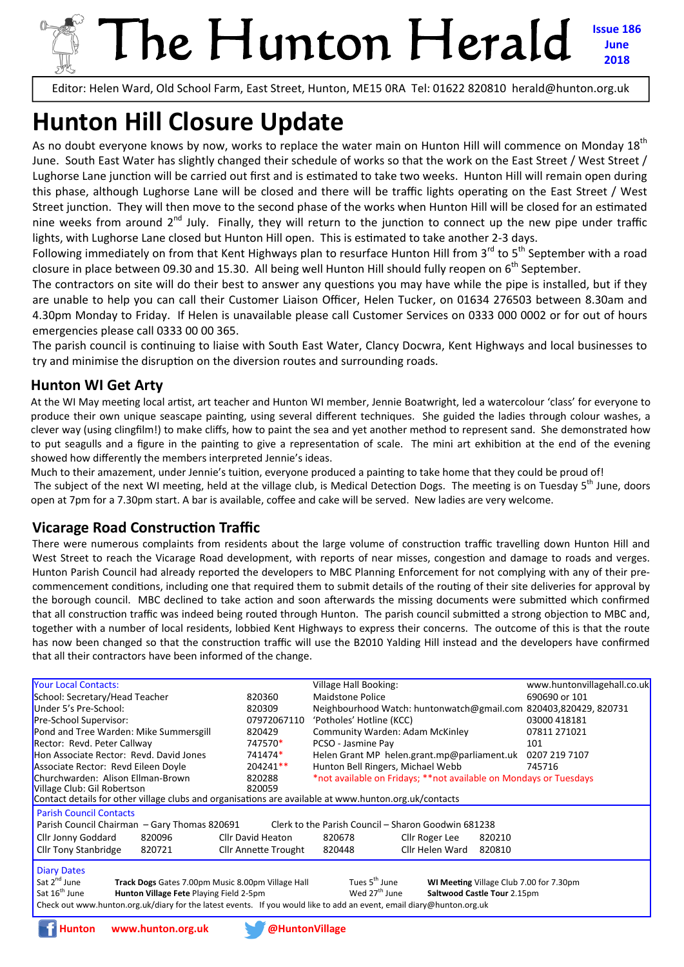## The Hunton Herald **Issue 186 June 2018**

Editor: Helen Ward, Old School Farm, East Street, Hunton, ME15 0RA Tel: 01622 820810 herald@hunton.org.uk

# **Hunton Hill Closure Update**

As no doubt everyone knows by now, works to replace the water main on Hunton Hill will commence on Monday 18<sup>th</sup> June. South East Water has slightly changed their schedule of works so that the work on the East Street / West Street / Lughorse Lane junction will be carried out first and is estimated to take two weeks. Hunton Hill will remain open during this phase, although Lughorse Lane will be closed and there will be traffic lights operating on the East Street / West Street iunction. They will then move to the second phase of the works when Hunton Hill will be closed for an estimated nine weeks from around  $2^{nd}$  July. Finally, they will return to the junction to connect up the new pipe under traffic lights, with Lughorse Lane closed but Hunton Hill open. This is estimated to take another 2-3 days.

Following immediately on from that Kent Highways plan to resurface Hunton Hill from  $3^{rd}$  to  $5^{th}$  September with a road closure in place between 09.30 and 15.30. All being well Hunton Hill should fully reopen on 6<sup>th</sup> September.

The contractors on site will do their best to answer any questions you may have while the pipe is installed, but if they are unable to help you can call their Customer Liaison Officer, Helen Tucker, on 01634 276503 between 8.30am and 4.30pm Monday to Friday. If Helen is unavailable please call Customer Services on 0333 000 0002 or for out of hours emergencies please call 0333 00 00 365.

The parish council is continuing to liaise with South East Water, Clancy Docwra, Kent Highways and local businesses to try and minimise the disruption on the diversion routes and surrounding roads.

#### **Hunton WI Get Arty**

At the WI May meeting local artist, art teacher and Hunton WI member, Jennie Boatwright, led a watercolour 'class' for everyone to produce their own unique seascape painting, using several different techniques. She guided the ladies through colour washes, a clever way (using clingfilm!) to make cliffs, how to paint the sea and yet another method to represent sand. She demonstrated how to put seagulls and a figure in the painting to give a representation of scale. The mini art exhibition at the end of the evening showed how differently the members interpreted Jennie's ideas.

Much to their amazement, under Jennie's tuition, everyone produced a painting to take home that they could be proud of! The subject of the next WI meeting, held at the village club, is Medical Detection Dogs. The meeting is on Tuesday  $5<sup>th</sup>$  June, doors open at 7pm for a 7.30pm start. A bar is available, coffee and cake will be served. New ladies are very welcome.

#### **Vicarage Road Construction Traffic**

There were numerous complaints from residents about the large volume of construction traffic travelling down Hunton Hill and West Street to reach the Vicarage Road development, with reports of near misses, congestion and damage to roads and verges. Hunton Parish Council had already reported the developers to MBC Planning Enforcement for not complying with any of their pre‐ commencement conditions, including one that required them to submit details of the routing of their site deliveries for approval by the borough council. MBC declined to take action and soon afterwards the missing documents were submitted which confirmed that all construction traffic was indeed being routed through Hunton. The parish council submitted a strong objection to MBC and, together with a number of local residents, lobbied Kent Highways to express their concerns. The outcome of this is that the route has now been changed so that the construction traffic will use the B2010 Yalding Hill instead and the developers have confirmed that all their contractors have been informed of the change.

| <b>Your Local Contacts:</b>                                                                                                                           |                      | Village Hall Booking:                                             | www.huntonvillagehall.co.uk |  |  |  |  |
|-------------------------------------------------------------------------------------------------------------------------------------------------------|----------------------|-------------------------------------------------------------------|-----------------------------|--|--|--|--|
| School: Secretary/Head Teacher                                                                                                                        | 820360               | Maidstone Police                                                  | 690690 or 101               |  |  |  |  |
| Under 5's Pre-School:                                                                                                                                 | 820309               | Neighbourhood Watch: huntonwatch@gmail.com 820403,820429, 820731  |                             |  |  |  |  |
| Pre-School Supervisor:                                                                                                                                | 07972067110          | 'Potholes' Hotline (KCC)                                          | 03000 418181                |  |  |  |  |
| Pond and Tree Warden: Mike Summersgill                                                                                                                | 820429               | Community Warden: Adam McKinley                                   | 07811 271021                |  |  |  |  |
| Rector: Revd. Peter Callway                                                                                                                           | 747570*              | PCSO - Jasmine Pay                                                | 101                         |  |  |  |  |
| Hon Associate Rector: Revd. David Jones                                                                                                               | 741474*              | Helen Grant MP helen.grant.mp@parliament.uk                       | 0207 219 7107               |  |  |  |  |
| Associate Rector: Revd Eileen Doyle                                                                                                                   | 204241**             | Hunton Bell Ringers, Michael Webb                                 | 745716                      |  |  |  |  |
| Churchwarden: Alison Ellman-Brown                                                                                                                     | 820288               | *not available on Fridays; **not available on Mondays or Tuesdays |                             |  |  |  |  |
| Village Club: Gil Robertson                                                                                                                           | 820059               |                                                                   |                             |  |  |  |  |
| Contact details for other village clubs and organisations are available at www.hunton.org.uk/contacts                                                 |                      |                                                                   |                             |  |  |  |  |
| <b>Parish Council Contacts</b>                                                                                                                        |                      |                                                                   |                             |  |  |  |  |
| Parish Council Chairman – Gary Thomas 820691<br>Clerk to the Parish Council – Sharon Goodwin 681238                                                   |                      |                                                                   |                             |  |  |  |  |
| Cllr Jonny Goddard<br>820096                                                                                                                          | Cllr David Heaton    | 820678<br>Cllr Roger Lee                                          | 820210                      |  |  |  |  |
| <b>Cllr Tony Stanbridge</b><br>820721                                                                                                                 | Cllr Annette Trought | 820448<br>Cllr Helen Ward                                         | 820810                      |  |  |  |  |
| <b>Diary Dates</b>                                                                                                                                    |                      |                                                                   |                             |  |  |  |  |
| Sat 2 <sup>nd</sup> June<br>Tues 5 <sup>th</sup> June<br>Track Dogs Gates 7.00pm Music 8.00pm Village Hall<br>WI Meeting Village Club 7.00 for 7.30pm |                      |                                                                   |                             |  |  |  |  |
| Sat 16 <sup>th</sup> June<br>Hunton Village Fete Playing Field 2-5pm                                                                                  |                      | Wed 27 <sup>th</sup> June<br>Saltwood Castle Tour 2.15pm          |                             |  |  |  |  |
| Check out www.hunton.org.uk/diary for the latest events. If you would like to add an event, email diary@hunton.org.uk                                 |                      |                                                                   |                             |  |  |  |  |
|                                                                                                                                                       |                      |                                                                   |                             |  |  |  |  |

**Hunton www.hunton.org.uk @HuntonVillage** 

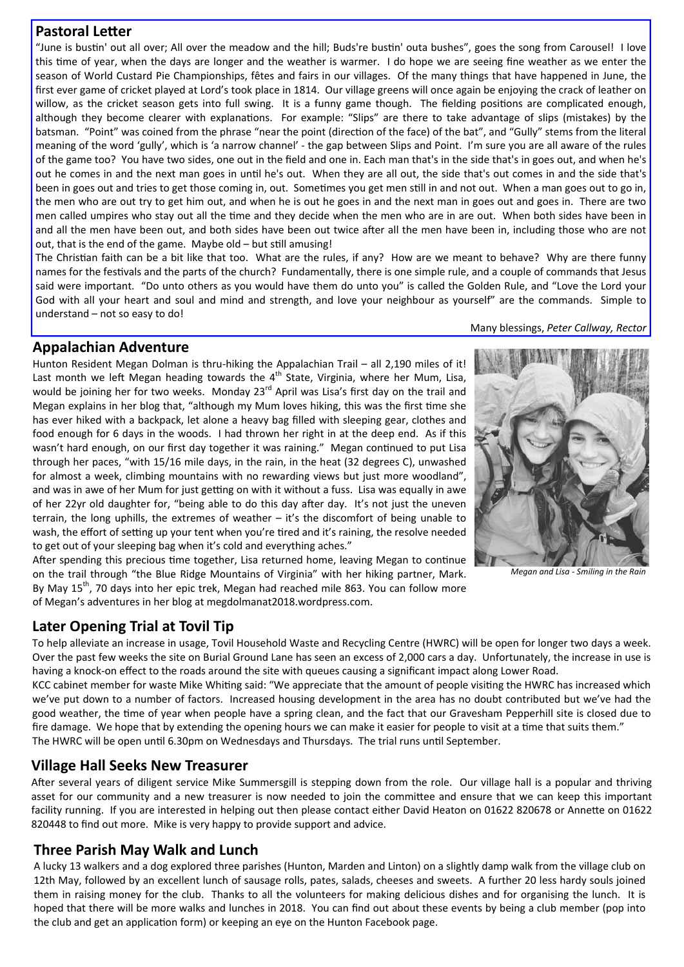#### **Pastoral Letter**

"June is bustin' out all over; All over the meadow and the hill; Buds're bustin' outa bushes", goes the song from Carousel! I love this time of year, when the days are longer and the weather is warmer. I do hope we are seeing fine weather as we enter the season of World Custard Pie Championships, fêtes and fairs in our villages. Of the many things that have happened in June, the first ever game of cricket played at Lord's took place in 1814. Our village greens will once again be enjoying the crack of leather on willow, as the cricket season gets into full swing. It is a funny game though. The fielding positions are complicated enough, although they become clearer with explanations. For example: "Slips" are there to take advantage of slips (mistakes) by the batsman. "Point" was coined from the phrase "near the point (direction of the face) of the bat", and "Gully" stems from the literal meaning of the word 'gully', which is 'a narrow channel' ‐ the gap between Slips and Point. I'm sure you are all aware of the rules of the game too? You have two sides, one out in the field and one in. Each man that's in the side that's in goes out, and when he's out he comes in and the next man goes in until he's out. When they are all out, the side that's out comes in and the side that's been in goes out and tries to get those coming in, out. Sometimes you get men still in and not out. When a man goes out to go in, the men who are out try to get him out, and when he is out he goes in and the next man in goes out and goes in. There are two men called umpires who stay out all the time and they decide when the men who are in are out. When both sides have been in and all the men have been out, and both sides have been out twice after all the men have been in, including those who are not out, that is the end of the game. Maybe old - but still amusing!

The Christian faith can be a bit like that too. What are the rules, if any? How are we meant to behave? Why are there funny names for the festivals and the parts of the church? Fundamentally, there is one simple rule, and a couple of commands that Jesus said were important. "Do unto others as you would have them do unto you" is called the Golden Rule, and "Love the Lord your God with all your heart and soul and mind and strength, and love your neighbour as yourself" are the commands. Simple to understand – not so easy to do!

#### Many blessings, *Peter Callway, Rector*

#### **Appalachian Adventure**

Hunton Resident Megan Dolman is thru-hiking the Appalachian Trail – all 2,190 miles of it! Last month we left Megan heading towards the  $4<sup>th</sup>$  State, Virginia, where her Mum, Lisa, would be joining her for two weeks. Monday 23<sup>rd</sup> April was Lisa's first day on the trail and Megan explains in her blog that, "although my Mum loves hiking, this was the first time she has ever hiked with a backpack, let alone a heavy bag filled with sleeping gear, clothes and food enough for 6 days in the woods. I had thrown her right in at the deep end. As if this wasn't hard enough, on our first day together it was raining." Megan continued to put Lisa through her paces, "with 15/16 mile days, in the rain, in the heat (32 degrees C), unwashed for almost a week, climbing mountains with no rewarding views but just more woodland", and was in awe of her Mum for just getting on with it without a fuss. Lisa was equally in awe of her 22yr old daughter for, "being able to do this day after day. It's not just the uneven terrain, the long uphills, the extremes of weather – it's the discomfort of being unable to wash, the effort of setting up your tent when you're tired and it's raining, the resolve needed to get out of your sleeping bag when it's cold and everything aches."



*Megan and Lisa ‐ Smiling in the Rain* 

After spending this precious time together, Lisa returned home, leaving Megan to continue on the trail through "the Blue Ridge Mountains of Virginia" with her hiking partner, Mark. By May  $15<sup>th</sup>$ , 70 days into her epic trek, Megan had reached mile 863. You can follow more of Megan's adventures in her blog at megdolmanat2018.wordpress.com.

#### **Later Opening Trial at Tovil Tip**

To help alleviate an increase in usage, Tovil Household Waste and Recycling Centre (HWRC) will be open for longer two days a week. Over the past few weeks the site on Burial Ground Lane has seen an excess of 2,000 cars a day. Unfortunately, the increase in use is having a knock-on effect to the roads around the site with queues causing a significant impact along Lower Road.

KCC cabinet member for waste Mike Whiting said: "We appreciate that the amount of people visiting the HWRC has increased which we've put down to a number of factors. Increased housing development in the area has no doubt contributed but we've had the good weather, the time of year when people have a spring clean, and the fact that our Gravesham Pepperhill site is closed due to fire damage. We hope that by extending the opening hours we can make it easier for people to visit at a time that suits them." The HWRC will be open until 6.30pm on Wednesdays and Thursdays. The trial runs until September.

#### **Village Hall Seeks New Treasurer**

After several years of diligent service Mike Summersgill is stepping down from the role. Our village hall is a popular and thriving asset for our community and a new treasurer is now needed to join the committee and ensure that we can keep this important facility running. If you are interested in helping out then please contact either David Heaton on 01622 820678 or Annette on 01622 820448 to find out more. Mike is very happy to provide support and advice.

#### **Three Parish May Walk and Lunch**

A lucky 13 walkers and a dog explored three parishes (Hunton, Marden and Linton) on a slightly damp walk from the village club on 12th May, followed by an excellent lunch of sausage rolls, pates, salads, cheeses and sweets. A further 20 less hardy souls joined them in raising money for the club. Thanks to all the volunteers for making delicious dishes and for organising the lunch. It is hoped that there will be more walks and lunches in 2018. You can find out about these events by being a club member (pop into the club and get an application form) or keeping an eye on the Hunton Facebook page.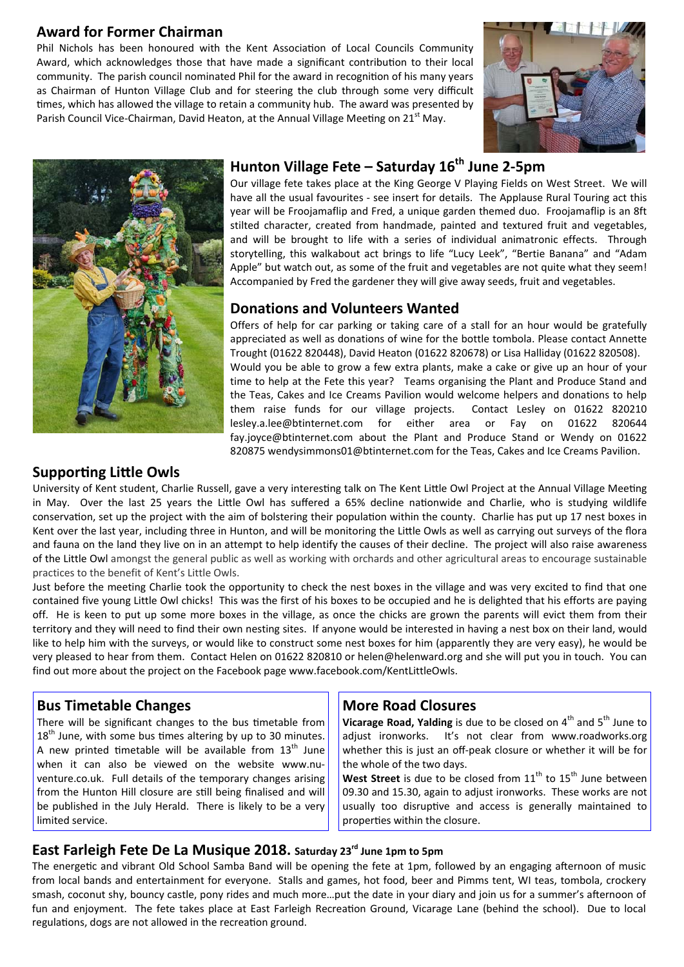#### **Award for Former Chairman**

Phil Nichols has been honoured with the Kent Association of Local Councils Community Award, which acknowledges those that have made a significant contribution to their local community. The parish council nominated Phil for the award in recognition of his many years as Chairman of Hunton Village Club and for steering the club through some very difficult times, which has allowed the village to retain a community hub. The award was presented by Parish Council Vice-Chairman, David Heaton, at the Annual Village Meeting on 21<sup>st</sup> May.





## Hunton Village Fete – Saturday 16<sup>th</sup> June 2-5pm

Our village fete takes place at the King George V Playing Fields on West Street. We will have all the usual favourites - see insert for details. The Applause Rural Touring act this year will be Froojamaflip and Fred, a unique garden themed duo. Froojamaflip is an 8ft stilted character, created from handmade, painted and textured fruit and vegetables, and will be brought to life with a series of individual animatronic effects. Through storytelling, this walkabout act brings to life "Lucy Leek", "Bertie Banana" and "Adam Apple" but watch out, as some of the fruit and vegetables are not quite what they seem! Accompanied by Fred the gardener they will give away seeds, fruit and vegetables.

#### **Donations and Volunteers Wanted**

Offers of help for car parking or taking care of a stall for an hour would be gratefully appreciated as well as donations of wine for the bottle tombola. Please contact Annette Trought (01622 820448), David Heaton (01622 820678) or Lisa Halliday (01622 820508). Would you be able to grow a few extra plants, make a cake or give up an hour of your time to help at the Fete this year? Teams organising the Plant and Produce Stand and the Teas, Cakes and Ice Creams Pavilion would welcome helpers and donations to help them raise funds for our village projects. Contact Lesley on 01622 820210 lesley.a.lee@btinternet.com for either area or Fay on 01622 820644 fay.joyce@btinternet.com about the Plant and Produce Stand or Wendy on 01622 820875 wendysimmons01@btinternet.com for the Teas, Cakes and Ice Creams Pavilion.

#### **Supporting Little Owls**

University of Kent student, Charlie Russell, gave a very interesting talk on The Kent Little Owl Project at the Annual Village Meeting in May. Over the last 25 years the Little Owl has suffered a 65% decline nationwide and Charlie, who is studying wildlife conservation, set up the project with the aim of bolstering their population within the county. Charlie has put up 17 nest boxes in Kent over the last year, including three in Hunton, and will be monitoring the Little Owls as well as carrying out surveys of the flora and fauna on the land they live on in an attempt to help identify the causes of their decline. The project will also raise awareness of the Little Owl amongst the general public as well as working with orchards and other agricultural areas to encourage sustainable practices to the benefit of Kent's Little Owls.

Just before the meeting Charlie took the opportunity to check the nest boxes in the village and was very excited to find that one contained five young Little Owl chicks! This was the first of his boxes to be occupied and he is delighted that his efforts are paying off. He is keen to put up some more boxes in the village, as once the chicks are grown the parents will evict them from their territory and they will need to find their own nesting sites. If anyone would be interested in having a nest box on their land, would like to help him with the surveys, or would like to construct some nest boxes for him (apparently they are very easy), he would be very pleased to hear from them. Contact Helen on 01622 820810 or helen@helenward.org and she will put you in touch. You can find out more about the project on the Facebook page www.facebook.com/KentLittleOwls.

#### **Bus Timetable Changes**

There will be significant changes to the bus timetable from  $18<sup>th</sup>$  June, with some bus times altering by up to 30 minutes. A new printed timetable will be available from  $13<sup>th</sup>$  June when it can also be viewed on the website www.nuventure.co.uk. Full details of the temporary changes arising from the Hunton Hill closure are still being finalised and will be published in the July Herald. There is likely to be a very limited service.

#### **More Road Closures**

**Vicarage Road, Yalding** is due to be closed on 4<sup>th</sup> and 5<sup>th</sup> June to adjust ironworks. It's not clear from www.roadworks.org whether this is just an off-peak closure or whether it will be for the whole of the two days.

West Street is due to be closed from 11<sup>th</sup> to 15<sup>th</sup> June between 09.30 and 15.30, again to adjust ironworks. These works are not usually too disruptive and access is generally maintained to properties within the closure.

#### East Farleigh Fete De La Musique 2018. Saturday 23<sup>rd</sup> June 1pm to 5pm

The energetic and vibrant Old School Samba Band will be opening the fete at 1pm, followed by an engaging afternoon of music from local bands and entertainment for everyone. Stalls and games, hot food, beer and Pimms tent, WI teas, tombola, crockery smash, coconut shy, bouncy castle, pony rides and much more...put the date in your diary and join us for a summer's afternoon of fun and enjoyment. The fete takes place at East Farleigh Recreation Ground, Vicarage Lane (behind the school). Due to local regulations, dogs are not allowed in the recreation ground.